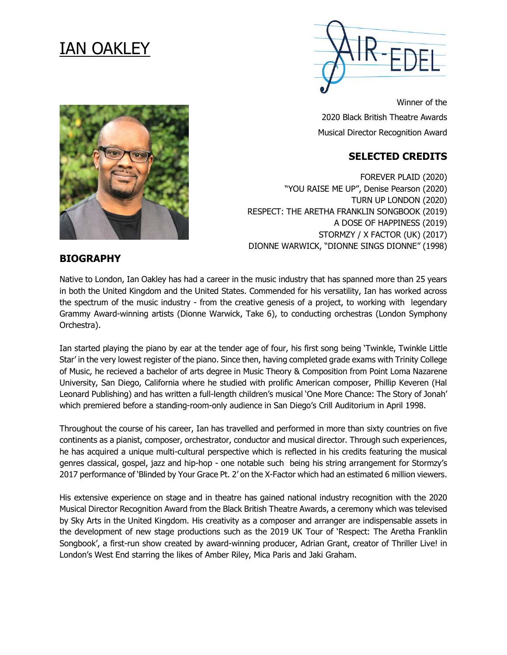# IAN OAKLEY



Winner of the 2020 Black British Theatre Awards Musical Director Recognition Award

# **SELECTED CREDITS**

FOREVER PLAID (2020) "YOU RAISE ME UP", Denise Pearson (2020) TURN UP LONDON (2020) RESPECT: THE ARETHA FRANKLIN SONGBOOK (2019) A DOSE OF HAPPINESS (2019) STORMZY / X FACTOR (UK) (2017) DIONNE WARWICK, "DIONNE SINGS DIONNE" (1998)

### **BIOGRAPHY**

Native to London, Ian Oakley has had a career in the music industry that has spanned more than 25 years in both the United Kingdom and the United States. Commended for his versatility, Ian has worked across the spectrum of the music industry - from the creative genesis of a project, to working with legendary Grammy Award-winning artists (Dionne Warwick, Take 6), to conducting orchestras (London Symphony Orchestra).

Ian started playing the piano by ear at the tender age of four, his first song being 'Twinkle, Twinkle Little Star' in the very lowest register of the piano. Since then, having completed grade exams with Trinity College of Music, he recieved a bachelor of arts degree in Music Theory & Composition from Point Loma Nazarene University, San Diego, California where he studied with prolific American composer, Phillip Keveren (Hal Leonard Publishing) and has written a full-length children's musical 'One More Chance: The Story of Jonah' which premiered before a standing-room-only audience in San Diego's Crill Auditorium in April 1998.

Throughout the course of his career, Ian has travelled and performed in more than sixty countries on five continents as a pianist, composer, orchestrator, conductor and musical director. Through such experiences, he has acquired a unique multi-cultural perspective which is reflected in his credits featuring the musical genres classical, gospel, jazz and hip-hop - one notable such being his string arrangement for Stormzy's 2017 performance of 'Blinded by Your Grace Pt. 2' on the X-Factor which had an estimated 6 million viewers.

His extensive experience on stage and in theatre has gained national industry recognition with the 2020 Musical Director Recognition Award from the Black British Theatre Awards, a ceremony which was televised by Sky Arts in the United Kingdom. His creativity as a composer and arranger are indispensable assets in the development of new stage productions such as the 2019 UK Tour of 'Respect: The Aretha Franklin Songbook', a first-run show created by award-winning producer, Adrian Grant, creator of Thriller Live! in London's West End starring the likes of Amber Riley, Mica Paris and Jaki Graham.

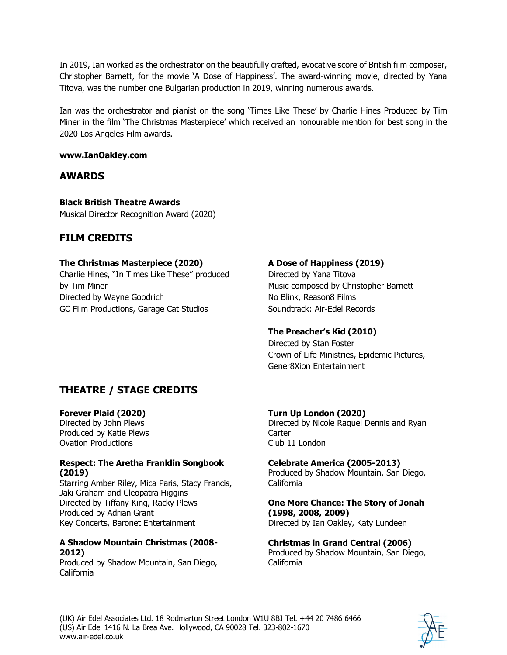In 2019, Ian worked as the orchestrator on the beautifully crafted, evocative score of British film composer, Christopher Barnett, for the movie 'A Dose of Happiness'. The award-winning movie, directed by Yana Titova, was the number one Bulgarian production in 2019, winning numerous awards.

Ian was the orchestrator and pianist on the song 'Times Like These' by Charlie Hines Produced by Tim Miner in the film 'The Christmas Masterpiece' which received an honourable mention for best song in the 2020 Los Angeles Film awards.

### **www.IanOakley.com**

### **AWARDS**

**Black British Theatre Awards**  Musical Director Recognition Award (2020)

### **FILM CREDITS**

### **The Christmas Masterpiece (2020)**

Charlie Hines, "In Times Like These" produced by Tim Miner Directed by Wayne Goodrich GC Film Productions, Garage Cat Studios

### **A Dose of Happiness (2019)**

Directed by Yana Titova Music composed by Christopher Barnett No Blink, Reason8 Films Soundtrack: Air-Edel Records

### **The Preacher's Kid (2010)**

Directed by Stan Foster Crown of Life Ministries, Epidemic Pictures, Gener8Xion Entertainment

# **THEATRE / STAGE CREDITS**

#### **Forever Plaid (2020)**

Directed by John Plews Produced by Katie Plews Ovation Productions

#### **Respect: The Aretha Franklin Songbook (2019)**

Starring Amber Riley, Mica Paris, Stacy Francis, Jaki Graham and Cleopatra Higgins Directed by Tiffany King, Racky Plews Produced by Adrian Grant Key Concerts, Baronet Entertainment

### **A Shadow Mountain Christmas (2008- 2012)**

Produced by Shadow Mountain, San Diego, California

**Turn Up London (2020)** Directed by Nicole Raquel Dennis and Ryan **Carter** Club 11 London

**Celebrate America (2005-2013)** Produced by Shadow Mountain, San Diego, California

**One More Chance: The Story of Jonah (1998, 2008, 2009)** Directed by Ian Oakley, Katy Lundeen

**Christmas in Grand Central (2006)** Produced by Shadow Mountain, San Diego, California

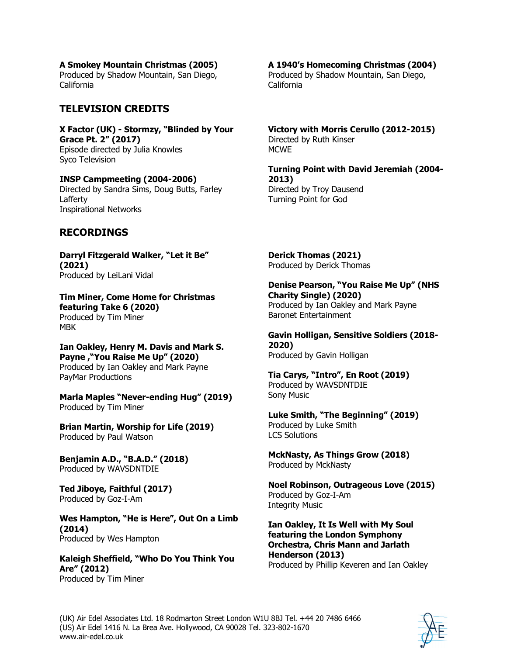**A Smokey Mountain Christmas (2005)**

Produced by Shadow Mountain, San Diego, California

## **TELEVISION CREDITS**

**X Factor (UK) - Stormzy, "Blinded by Your Grace Pt. 2" (2017)**  Episode directed by Julia Knowles Syco Television

**INSP Campmeeting (2004-2006)** Directed by Sandra Sims, Doug Butts, Farley Lafferty Inspirational Networks

### **RECORDINGS**

**Darryl Fitzgerald Walker, "Let it Be" (2021)**  Produced by LeiLani Vidal

**Tim Miner, Come Home for Christmas featuring Take 6 (2020)** Produced by Tim Miner MBK

**Ian Oakley, Henry M. Davis and Mark S. Payne ,"You Raise Me Up" (2020)** Produced by Ian Oakley and Mark Payne PayMar Productions

**Marla Maples "Never-ending Hug" (2019)** Produced by Tim Miner

**Brian Martin, Worship for Life (2019)** Produced by Paul Watson

**Benjamin A.D., "B.A.D." (2018)** Produced by WAVSDNTDIE

**Ted Jiboye, Faithful (2017)** Produced by Goz-I-Am

**Wes Hampton, "He is Here", Out On a Limb (2014)** Produced by Wes Hampton

**Kaleigh Sheffield, "Who Do You Think You Are" (2012)** Produced by Tim Miner

### **A 1940's Homecoming Christmas (2004)**

Produced by Shadow Mountain, San Diego, California

**Victory with Morris Cerullo (2012-2015)** Directed by Ruth Kinser MCWE

**Turning Point with David Jeremiah (2004- 2013)**  Directed by Troy Dausend Turning Point for God

**Derick Thomas (2021)** Produced by Derick Thomas

**Denise Pearson, "You Raise Me Up" (NHS Charity Single) (2020)**  Produced by Ian Oakley and Mark Payne Baronet Entertainment

**Gavin Holligan, Sensitive Soldiers (2018- 2020)** Produced by Gavin Holligan

**Tia Carys, "Intro", En Root (2019)** Produced by WAVSDNTDIE Sony Music

**Luke Smith, "The Beginning" (2019)** Produced by Luke Smith LCS Solutions

**MckNasty, As Things Grow (2018)** Produced by MckNasty

**Noel Robinson, Outrageous Love (2015)** Produced by Goz-I-Am Integrity Music

**Ian Oakley, It Is Well with My Soul featuring the London Symphony Orchestra, Chris Mann and Jarlath Henderson (2013)**  Produced by Phillip Keveren and Ian Oakley

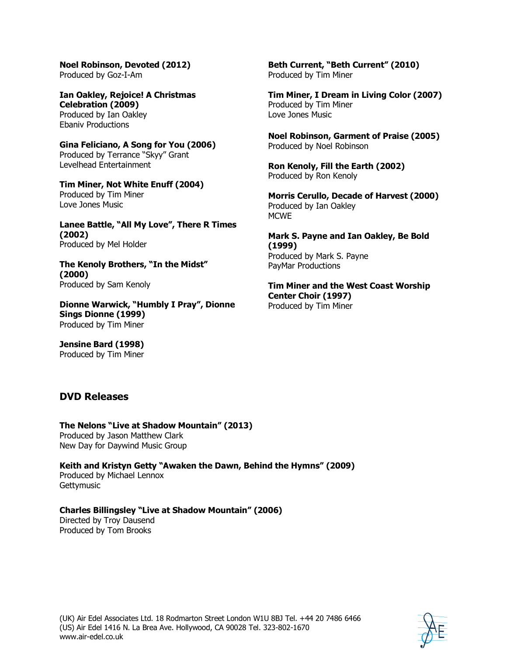**Noel Robinson, Devoted (2012)** Produced by Goz-I-Am

**Ian Oakley, Rejoice! A Christmas Celebration (2009)** Produced by Ian Oakley Ebaniv Productions

**Gina Feliciano, A Song for You (2006)** Produced by Terrance "Skyy" Grant Levelhead Entertainment

**Tim Miner, Not White Enuff (2004)** Produced by Tim Miner Love Jones Music

**Lanee Battle, "All My Love", There R Times (2002)**  Produced by Mel Holder

**The Kenoly Brothers, "In the Midst" (2000)** Produced by Sam Kenoly

**Dionne Warwick, "Humbly I Pray", Dionne Sings Dionne (1999)** Produced by Tim Miner

**Jensine Bard (1998)** Produced by Tim Miner

**DVD Releases**

**The Nelons "Live at Shadow Mountain" (2013)**  Produced by Jason Matthew Clark

New Day for Daywind Music Group

**Keith and Kristyn Getty "Awaken the Dawn, Behind the Hymns" (2009)** Produced by Michael Lennox **Gettymusic** 

**Charles Billingsley "Live at Shadow Mountain" (2006)** Directed by Troy Dausend

Produced by Tom Brooks

**Tim Miner, I Dream in Living Color (2007)** Produced by Tim Miner Love Jones Music

Produced by Tim Miner

**Noel Robinson, Garment of Praise (2005)** Produced by Noel Robinson

**Beth Current, "Beth Current" (2010)**

**Ron Kenoly, Fill the Earth (2002)** Produced by Ron Kenoly

**Morris Cerullo, Decade of Harvest (2000)** Produced by Ian Oakley **MCWE** 

**Mark S. Payne and Ian Oakley, Be Bold (1999)**  Produced by Mark S. Payne PayMar Productions

**Tim Miner and the West Coast Worship Center Choir (1997)** Produced by Tim Miner